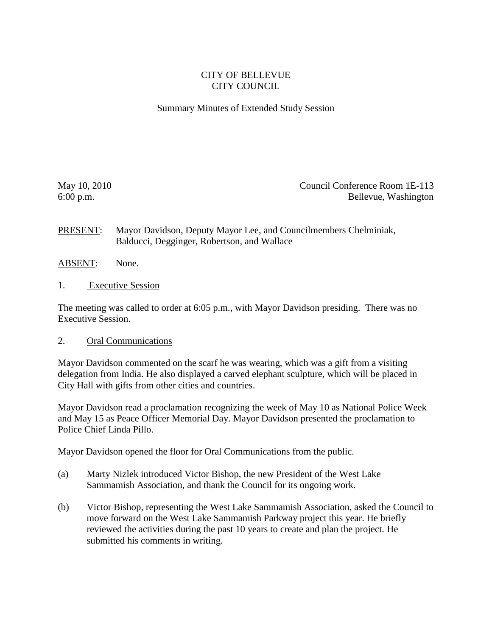## CITY OF BELLEVUE CITY COUNCIL

## Summary Minutes of Extended Study Session

May 10, 2010 Council Conference Room 1E-113 6:00 p.m. Bellevue, Washington

PRESENT: Mayor Davidson, Deputy Mayor Lee, and Councilmembers Chelminiak, Balducci, Degginger, Robertson, and Wallace

- ABSENT: None.
- 1. Executive Session

The meeting was called to order at 6:05 p.m., with Mayor Davidson presiding. There was no Executive Session.

## 2. Oral Communications

Mayor Davidson commented on the scarf he was wearing, which was a gift from a visiting delegation from India. He also displayed a carved elephant sculpture, which will be placed in City Hall with gifts from other cities and countries.

Mayor Davidson read a proclamation recognizing the week of May 10 as National Police Week and May 15 as Peace Officer Memorial Day. Mayor Davidson presented the proclamation to Police Chief Linda Pillo.

Mayor Davidson opened the floor for Oral Communications from the public.

- (a) Marty Nizlek introduced Victor Bishop, the new President of the West Lake Sammamish Association, and thank the Council for its ongoing work.
- (b) Victor Bishop, representing the West Lake Sammamish Association, asked the Council to move forward on the West Lake Sammamish Parkway project this year. He briefly reviewed the activities during the past 10 years to create and plan the project. He submitted his comments in writing.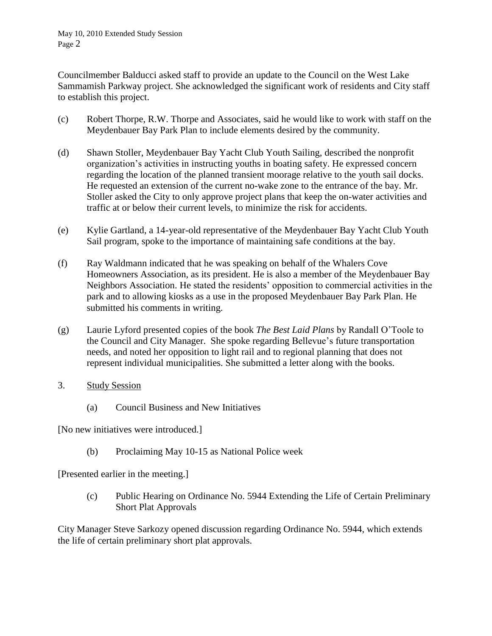Councilmember Balducci asked staff to provide an update to the Council on the West Lake Sammamish Parkway project. She acknowledged the significant work of residents and City staff to establish this project.

- (c) Robert Thorpe, R.W. Thorpe and Associates, said he would like to work with staff on the Meydenbauer Bay Park Plan to include elements desired by the community.
- (d) Shawn Stoller, Meydenbauer Bay Yacht Club Youth Sailing, described the nonprofit organization's activities in instructing youths in boating safety. He expressed concern regarding the location of the planned transient moorage relative to the youth sail docks. He requested an extension of the current no-wake zone to the entrance of the bay. Mr. Stoller asked the City to only approve project plans that keep the on-water activities and traffic at or below their current levels, to minimize the risk for accidents.
- (e) Kylie Gartland, a 14-year-old representative of the Meydenbauer Bay Yacht Club Youth Sail program, spoke to the importance of maintaining safe conditions at the bay.
- (f) Ray Waldmann indicated that he was speaking on behalf of the Whalers Cove Homeowners Association, as its president. He is also a member of the Meydenbauer Bay Neighbors Association. He stated the residents' opposition to commercial activities in the park and to allowing kiosks as a use in the proposed Meydenbauer Bay Park Plan. He submitted his comments in writing.
- (g) Laurie Lyford presented copies of the book *The Best Laid Plans* by Randall O'Toole to the Council and City Manager. She spoke regarding Bellevue's future transportation needs, and noted her opposition to light rail and to regional planning that does not represent individual municipalities. She submitted a letter along with the books.
- 3. Study Session
	- (a) Council Business and New Initiatives

[No new initiatives were introduced.]

(b) Proclaiming May 10-15 as National Police week

[Presented earlier in the meeting.]

(c) Public Hearing on Ordinance No. 5944 Extending the Life of Certain Preliminary Short Plat Approvals

City Manager Steve Sarkozy opened discussion regarding Ordinance No. 5944, which extends the life of certain preliminary short plat approvals.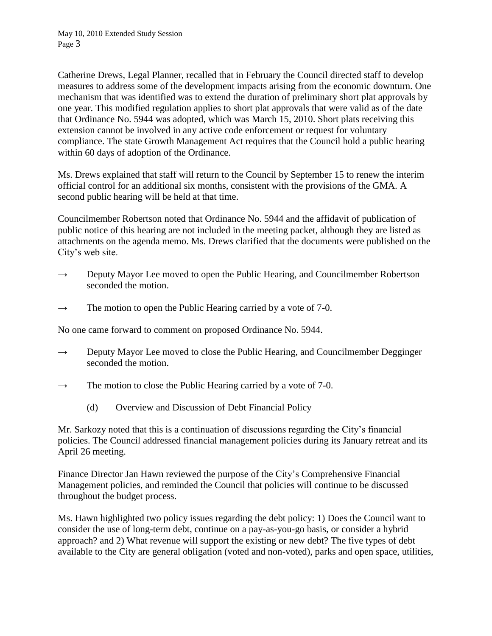Catherine Drews, Legal Planner, recalled that in February the Council directed staff to develop measures to address some of the development impacts arising from the economic downturn. One mechanism that was identified was to extend the duration of preliminary short plat approvals by one year. This modified regulation applies to short plat approvals that were valid as of the date that Ordinance No. 5944 was adopted, which was March 15, 2010. Short plats receiving this extension cannot be involved in any active code enforcement or request for voluntary compliance. The state Growth Management Act requires that the Council hold a public hearing within 60 days of adoption of the Ordinance.

Ms. Drews explained that staff will return to the Council by September 15 to renew the interim official control for an additional six months, consistent with the provisions of the GMA. A second public hearing will be held at that time.

Councilmember Robertson noted that Ordinance No. 5944 and the affidavit of publication of public notice of this hearing are not included in the meeting packet, although they are listed as attachments on the agenda memo. Ms. Drews clarified that the documents were published on the City's web site.

- $\rightarrow$  Deputy Mayor Lee moved to open the Public Hearing, and Councilmember Robertson seconded the motion.
- $\rightarrow$  The motion to open the Public Hearing carried by a vote of 7-0.

No one came forward to comment on proposed Ordinance No. 5944.

- $\rightarrow$  Deputy Mayor Lee moved to close the Public Hearing, and Councilmember Degginger seconded the motion.
- $\rightarrow$  The motion to close the Public Hearing carried by a vote of 7-0.
	- (d) Overview and Discussion of Debt Financial Policy

Mr. Sarkozy noted that this is a continuation of discussions regarding the City's financial policies. The Council addressed financial management policies during its January retreat and its April 26 meeting.

Finance Director Jan Hawn reviewed the purpose of the City's Comprehensive Financial Management policies, and reminded the Council that policies will continue to be discussed throughout the budget process.

Ms. Hawn highlighted two policy issues regarding the debt policy: 1) Does the Council want to consider the use of long-term debt, continue on a pay-as-you-go basis, or consider a hybrid approach? and 2) What revenue will support the existing or new debt? The five types of debt available to the City are general obligation (voted and non-voted), parks and open space, utilities,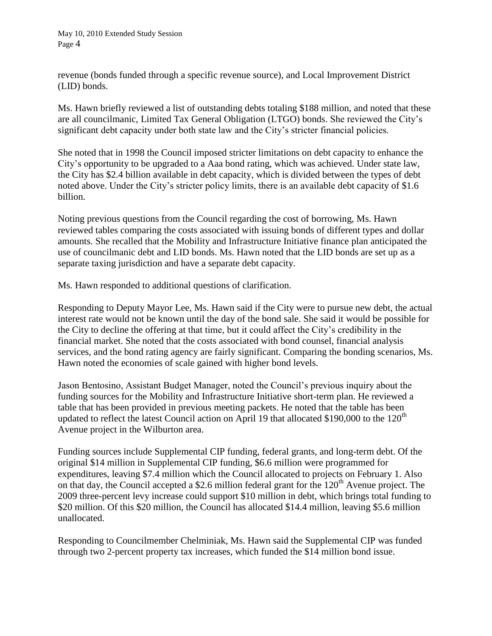revenue (bonds funded through a specific revenue source), and Local Improvement District (LID) bonds.

Ms. Hawn briefly reviewed a list of outstanding debts totaling \$188 million, and noted that these are all councilmanic, Limited Tax General Obligation (LTGO) bonds. She reviewed the City's significant debt capacity under both state law and the City's stricter financial policies.

She noted that in 1998 the Council imposed stricter limitations on debt capacity to enhance the City's opportunity to be upgraded to a Aaa bond rating, which was achieved. Under state law, the City has \$2.4 billion available in debt capacity, which is divided between the types of debt noted above. Under the City's stricter policy limits, there is an available debt capacity of \$1.6 billion.

Noting previous questions from the Council regarding the cost of borrowing, Ms. Hawn reviewed tables comparing the costs associated with issuing bonds of different types and dollar amounts. She recalled that the Mobility and Infrastructure Initiative finance plan anticipated the use of councilmanic debt and LID bonds. Ms. Hawn noted that the LID bonds are set up as a separate taxing jurisdiction and have a separate debt capacity.

Ms. Hawn responded to additional questions of clarification.

Responding to Deputy Mayor Lee, Ms. Hawn said if the City were to pursue new debt, the actual interest rate would not be known until the day of the bond sale. She said it would be possible for the City to decline the offering at that time, but it could affect the City's credibility in the financial market. She noted that the costs associated with bond counsel, financial analysis services, and the bond rating agency are fairly significant. Comparing the bonding scenarios, Ms. Hawn noted the economies of scale gained with higher bond levels.

Jason Bentosino, Assistant Budget Manager, noted the Council's previous inquiry about the funding sources for the Mobility and Infrastructure Initiative short-term plan. He reviewed a table that has been provided in previous meeting packets. He noted that the table has been updated to reflect the latest Council action on April 19 that allocated \$190,000 to the  $120<sup>th</sup>$ Avenue project in the Wilburton area.

Funding sources include Supplemental CIP funding, federal grants, and long-term debt. Of the original \$14 million in Supplemental CIP funding, \$6.6 million were programmed for expenditures, leaving \$7.4 million which the Council allocated to projects on February 1. Also on that day, the Council accepted a \$2.6 million federal grant for the  $120<sup>th</sup>$  Avenue project. The 2009 three-percent levy increase could support \$10 million in debt, which brings total funding to \$20 million. Of this \$20 million, the Council has allocated \$14.4 million, leaving \$5.6 million unallocated.

Responding to Councilmember Chelminiak, Ms. Hawn said the Supplemental CIP was funded through two 2-percent property tax increases, which funded the \$14 million bond issue.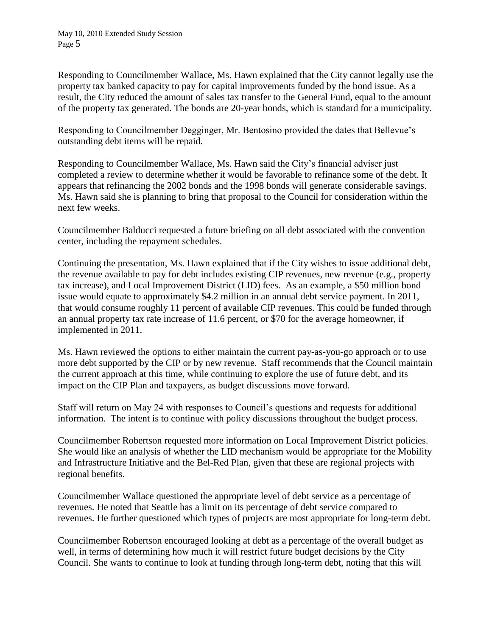Responding to Councilmember Wallace, Ms. Hawn explained that the City cannot legally use the property tax banked capacity to pay for capital improvements funded by the bond issue. As a result, the City reduced the amount of sales tax transfer to the General Fund, equal to the amount of the property tax generated. The bonds are 20-year bonds, which is standard for a municipality.

Responding to Councilmember Degginger, Mr. Bentosino provided the dates that Bellevue's outstanding debt items will be repaid.

Responding to Councilmember Wallace, Ms. Hawn said the City's financial adviser just completed a review to determine whether it would be favorable to refinance some of the debt. It appears that refinancing the 2002 bonds and the 1998 bonds will generate considerable savings. Ms. Hawn said she is planning to bring that proposal to the Council for consideration within the next few weeks.

Councilmember Balducci requested a future briefing on all debt associated with the convention center, including the repayment schedules.

Continuing the presentation, Ms. Hawn explained that if the City wishes to issue additional debt, the revenue available to pay for debt includes existing CIP revenues, new revenue (e.g., property tax increase), and Local Improvement District (LID) fees. As an example, a \$50 million bond issue would equate to approximately \$4.2 million in an annual debt service payment. In 2011, that would consume roughly 11 percent of available CIP revenues. This could be funded through an annual property tax rate increase of 11.6 percent, or \$70 for the average homeowner, if implemented in 2011.

Ms. Hawn reviewed the options to either maintain the current pay-as-you-go approach or to use more debt supported by the CIP or by new revenue. Staff recommends that the Council maintain the current approach at this time, while continuing to explore the use of future debt, and its impact on the CIP Plan and taxpayers, as budget discussions move forward.

Staff will return on May 24 with responses to Council's questions and requests for additional information. The intent is to continue with policy discussions throughout the budget process.

Councilmember Robertson requested more information on Local Improvement District policies. She would like an analysis of whether the LID mechanism would be appropriate for the Mobility and Infrastructure Initiative and the Bel-Red Plan, given that these are regional projects with regional benefits.

Councilmember Wallace questioned the appropriate level of debt service as a percentage of revenues. He noted that Seattle has a limit on its percentage of debt service compared to revenues. He further questioned which types of projects are most appropriate for long-term debt.

Councilmember Robertson encouraged looking at debt as a percentage of the overall budget as well, in terms of determining how much it will restrict future budget decisions by the City Council. She wants to continue to look at funding through long-term debt, noting that this will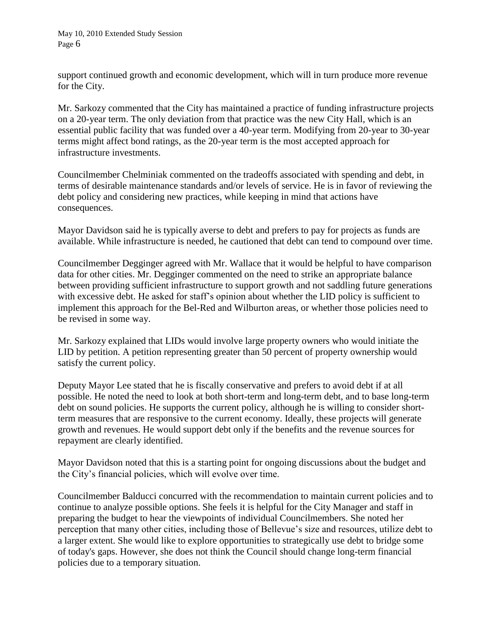support continued growth and economic development, which will in turn produce more revenue for the City.

Mr. Sarkozy commented that the City has maintained a practice of funding infrastructure projects on a 20-year term. The only deviation from that practice was the new City Hall, which is an essential public facility that was funded over a 40-year term. Modifying from 20-year to 30-year terms might affect bond ratings, as the 20-year term is the most accepted approach for infrastructure investments.

Councilmember Chelminiak commented on the tradeoffs associated with spending and debt, in terms of desirable maintenance standards and/or levels of service. He is in favor of reviewing the debt policy and considering new practices, while keeping in mind that actions have consequences.

Mayor Davidson said he is typically averse to debt and prefers to pay for projects as funds are available. While infrastructure is needed, he cautioned that debt can tend to compound over time.

Councilmember Degginger agreed with Mr. Wallace that it would be helpful to have comparison data for other cities. Mr. Degginger commented on the need to strike an appropriate balance between providing sufficient infrastructure to support growth and not saddling future generations with excessive debt. He asked for staff's opinion about whether the LID policy is sufficient to implement this approach for the Bel-Red and Wilburton areas, or whether those policies need to be revised in some way.

Mr. Sarkozy explained that LIDs would involve large property owners who would initiate the LID by petition. A petition representing greater than 50 percent of property ownership would satisfy the current policy.

Deputy Mayor Lee stated that he is fiscally conservative and prefers to avoid debt if at all possible. He noted the need to look at both short-term and long-term debt, and to base long-term debt on sound policies. He supports the current policy, although he is willing to consider shortterm measures that are responsive to the current economy. Ideally, these projects will generate growth and revenues. He would support debt only if the benefits and the revenue sources for repayment are clearly identified.

Mayor Davidson noted that this is a starting point for ongoing discussions about the budget and the City's financial policies, which will evolve over time.

Councilmember Balducci concurred with the recommendation to maintain current policies and to continue to analyze possible options. She feels it is helpful for the City Manager and staff in preparing the budget to hear the viewpoints of individual Councilmembers. She noted her perception that many other cities, including those of Bellevue's size and resources, utilize debt to a larger extent. She would like to explore opportunities to strategically use debt to bridge some of today's gaps. However, she does not think the Council should change long-term financial policies due to a temporary situation.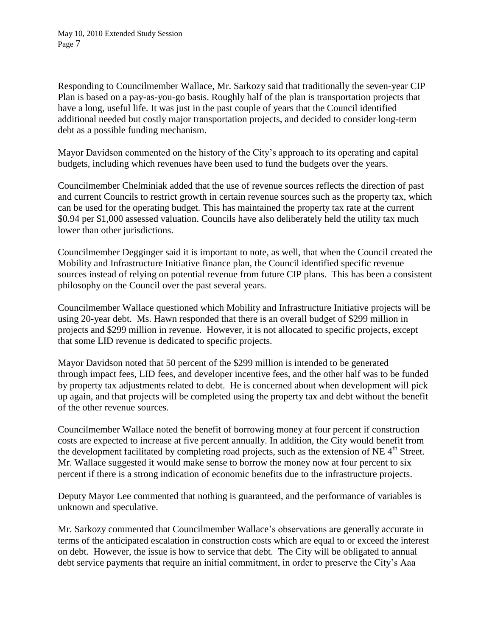Responding to Councilmember Wallace, Mr. Sarkozy said that traditionally the seven-year CIP Plan is based on a pay-as-you-go basis. Roughly half of the plan is transportation projects that have a long, useful life. It was just in the past couple of years that the Council identified additional needed but costly major transportation projects, and decided to consider long-term debt as a possible funding mechanism.

Mayor Davidson commented on the history of the City's approach to its operating and capital budgets, including which revenues have been used to fund the budgets over the years.

Councilmember Chelminiak added that the use of revenue sources reflects the direction of past and current Councils to restrict growth in certain revenue sources such as the property tax, which can be used for the operating budget. This has maintained the property tax rate at the current \$0.94 per \$1,000 assessed valuation. Councils have also deliberately held the utility tax much lower than other jurisdictions.

Councilmember Degginger said it is important to note, as well, that when the Council created the Mobility and Infrastructure Initiative finance plan, the Council identified specific revenue sources instead of relying on potential revenue from future CIP plans. This has been a consistent philosophy on the Council over the past several years.

Councilmember Wallace questioned which Mobility and Infrastructure Initiative projects will be using 20-year debt. Ms. Hawn responded that there is an overall budget of \$299 million in projects and \$299 million in revenue. However, it is not allocated to specific projects, except that some LID revenue is dedicated to specific projects.

Mayor Davidson noted that 50 percent of the \$299 million is intended to be generated through impact fees, LID fees, and developer incentive fees, and the other half was to be funded by property tax adjustments related to debt. He is concerned about when development will pick up again, and that projects will be completed using the property tax and debt without the benefit of the other revenue sources.

Councilmember Wallace noted the benefit of borrowing money at four percent if construction costs are expected to increase at five percent annually. In addition, the City would benefit from the development facilitated by completing road projects, such as the extension of NE 4<sup>th</sup> Street. Mr. Wallace suggested it would make sense to borrow the money now at four percent to six percent if there is a strong indication of economic benefits due to the infrastructure projects.

Deputy Mayor Lee commented that nothing is guaranteed, and the performance of variables is unknown and speculative.

Mr. Sarkozy commented that Councilmember Wallace's observations are generally accurate in terms of the anticipated escalation in construction costs which are equal to or exceed the interest on debt. However, the issue is how to service that debt. The City will be obligated to annual debt service payments that require an initial commitment, in order to preserve the City's Aaa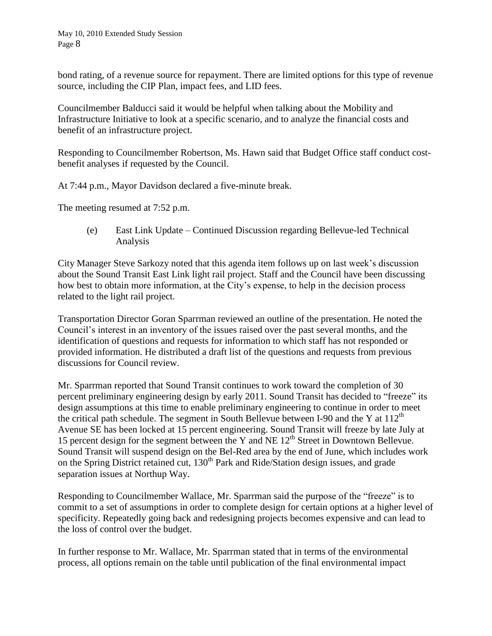bond rating, of a revenue source for repayment. There are limited options for this type of revenue source, including the CIP Plan, impact fees, and LID fees.

Councilmember Balducci said it would be helpful when talking about the Mobility and Infrastructure Initiative to look at a specific scenario, and to analyze the financial costs and benefit of an infrastructure project.

Responding to Councilmember Robertson, Ms. Hawn said that Budget Office staff conduct costbenefit analyses if requested by the Council.

At 7:44 p.m., Mayor Davidson declared a five-minute break.

The meeting resumed at 7:52 p.m.

(e) East Link Update – Continued Discussion regarding Bellevue-led Technical Analysis

City Manager Steve Sarkozy noted that this agenda item follows up on last week's discussion about the Sound Transit East Link light rail project. Staff and the Council have been discussing how best to obtain more information, at the City's expense, to help in the decision process related to the light rail project.

Transportation Director Goran Sparrman reviewed an outline of the presentation. He noted the Council's interest in an inventory of the issues raised over the past several months, and the identification of questions and requests for information to which staff has not responded or provided information. He distributed a draft list of the questions and requests from previous discussions for Council review.

Mr. Sparrman reported that Sound Transit continues to work toward the completion of 30 percent preliminary engineering design by early 2011. Sound Transit has decided to "freeze" its design assumptions at this time to enable preliminary engineering to continue in order to meet the critical path schedule. The segment in South Bellevue between I-90 and the Y at  $112<sup>th</sup>$ Avenue SE has been locked at 15 percent engineering. Sound Transit will freeze by late July at 15 percent design for the segment between the Y and NE  $12<sup>th</sup>$  Street in Downtown Bellevue. Sound Transit will suspend design on the Bel-Red area by the end of June, which includes work on the Spring District retained cut, 130<sup>th</sup> Park and Ride/Station design issues, and grade separation issues at Northup Way.

Responding to Councilmember Wallace, Mr. Sparrman said the purpose of the "freeze" is to commit to a set of assumptions in order to complete design for certain options at a higher level of specificity. Repeatedly going back and redesigning projects becomes expensive and can lead to the loss of control over the budget.

In further response to Mr. Wallace, Mr. Sparrman stated that in terms of the environmental process, all options remain on the table until publication of the final environmental impact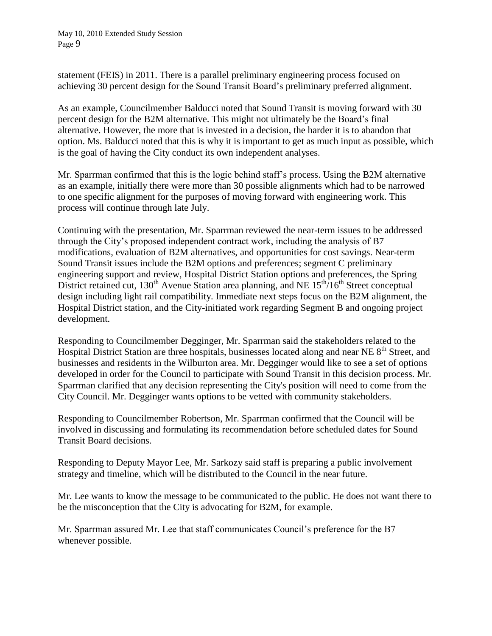statement (FEIS) in 2011. There is a parallel preliminary engineering process focused on achieving 30 percent design for the Sound Transit Board's preliminary preferred alignment.

As an example, Councilmember Balducci noted that Sound Transit is moving forward with 30 percent design for the B2M alternative. This might not ultimately be the Board's final alternative. However, the more that is invested in a decision, the harder it is to abandon that option. Ms. Balducci noted that this is why it is important to get as much input as possible, which is the goal of having the City conduct its own independent analyses.

Mr. Sparrman confirmed that this is the logic behind staff's process. Using the B2M alternative as an example, initially there were more than 30 possible alignments which had to be narrowed to one specific alignment for the purposes of moving forward with engineering work. This process will continue through late July.

Continuing with the presentation, Mr. Sparrman reviewed the near-term issues to be addressed through the City's proposed independent contract work, including the analysis of B7 modifications, evaluation of B2M alternatives, and opportunities for cost savings. Near-term Sound Transit issues include the B2M options and preferences; segment C preliminary engineering support and review, Hospital District Station options and preferences, the Spring District retained cut,  $130^{th}$  Avenue Station area planning, and NE  $15^{th}/16^{th}$  Street conceptual design including light rail compatibility. Immediate next steps focus on the B2M alignment, the Hospital District station, and the City-initiated work regarding Segment B and ongoing project development.

Responding to Councilmember Degginger, Mr. Sparrman said the stakeholders related to the Hospital District Station are three hospitals, businesses located along and near NE 8<sup>th</sup> Street, and businesses and residents in the Wilburton area. Mr. Degginger would like to see a set of options developed in order for the Council to participate with Sound Transit in this decision process. Mr. Sparrman clarified that any decision representing the City's position will need to come from the City Council. Mr. Degginger wants options to be vetted with community stakeholders.

Responding to Councilmember Robertson, Mr. Sparrman confirmed that the Council will be involved in discussing and formulating its recommendation before scheduled dates for Sound Transit Board decisions.

Responding to Deputy Mayor Lee, Mr. Sarkozy said staff is preparing a public involvement strategy and timeline, which will be distributed to the Council in the near future.

Mr. Lee wants to know the message to be communicated to the public. He does not want there to be the misconception that the City is advocating for B2M, for example.

Mr. Sparrman assured Mr. Lee that staff communicates Council's preference for the B7 whenever possible.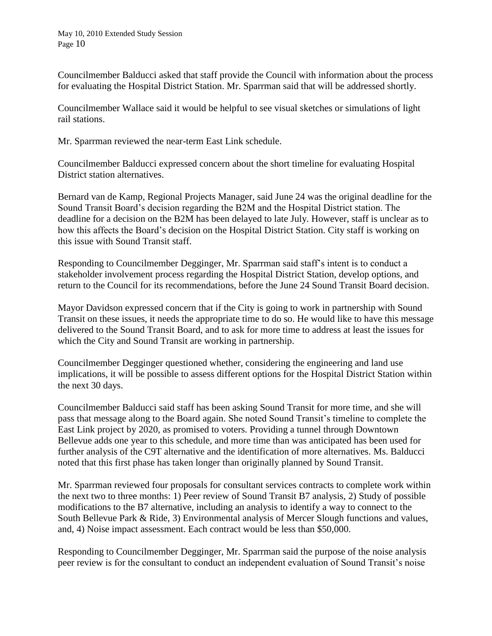Councilmember Balducci asked that staff provide the Council with information about the process for evaluating the Hospital District Station. Mr. Sparrman said that will be addressed shortly.

Councilmember Wallace said it would be helpful to see visual sketches or simulations of light rail stations.

Mr. Sparrman reviewed the near-term East Link schedule.

Councilmember Balducci expressed concern about the short timeline for evaluating Hospital District station alternatives.

Bernard van de Kamp, Regional Projects Manager, said June 24 was the original deadline for the Sound Transit Board's decision regarding the B2M and the Hospital District station. The deadline for a decision on the B2M has been delayed to late July. However, staff is unclear as to how this affects the Board's decision on the Hospital District Station. City staff is working on this issue with Sound Transit staff.

Responding to Councilmember Degginger, Mr. Sparrman said staff's intent is to conduct a stakeholder involvement process regarding the Hospital District Station, develop options, and return to the Council for its recommendations, before the June 24 Sound Transit Board decision.

Mayor Davidson expressed concern that if the City is going to work in partnership with Sound Transit on these issues, it needs the appropriate time to do so. He would like to have this message delivered to the Sound Transit Board, and to ask for more time to address at least the issues for which the City and Sound Transit are working in partnership.

Councilmember Degginger questioned whether, considering the engineering and land use implications, it will be possible to assess different options for the Hospital District Station within the next 30 days.

Councilmember Balducci said staff has been asking Sound Transit for more time, and she will pass that message along to the Board again. She noted Sound Transit's timeline to complete the East Link project by 2020, as promised to voters. Providing a tunnel through Downtown Bellevue adds one year to this schedule, and more time than was anticipated has been used for further analysis of the C9T alternative and the identification of more alternatives. Ms. Balducci noted that this first phase has taken longer than originally planned by Sound Transit.

Mr. Sparrman reviewed four proposals for consultant services contracts to complete work within the next two to three months: 1) Peer review of Sound Transit B7 analysis, 2) Study of possible modifications to the B7 alternative, including an analysis to identify a way to connect to the South Bellevue Park & Ride, 3) Environmental analysis of Mercer Slough functions and values, and, 4) Noise impact assessment. Each contract would be less than \$50,000.

Responding to Councilmember Degginger, Mr. Sparrman said the purpose of the noise analysis peer review is for the consultant to conduct an independent evaluation of Sound Transit's noise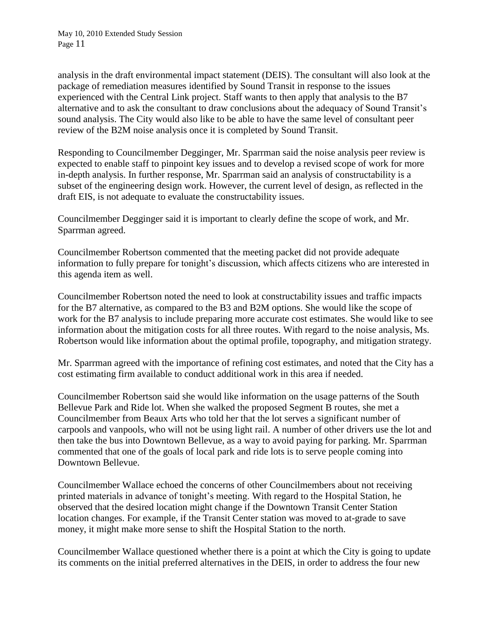analysis in the draft environmental impact statement (DEIS). The consultant will also look at the package of remediation measures identified by Sound Transit in response to the issues experienced with the Central Link project. Staff wants to then apply that analysis to the B7 alternative and to ask the consultant to draw conclusions about the adequacy of Sound Transit's sound analysis. The City would also like to be able to have the same level of consultant peer review of the B2M noise analysis once it is completed by Sound Transit.

Responding to Councilmember Degginger, Mr. Sparrman said the noise analysis peer review is expected to enable staff to pinpoint key issues and to develop a revised scope of work for more in-depth analysis. In further response, Mr. Sparrman said an analysis of constructability is a subset of the engineering design work. However, the current level of design, as reflected in the draft EIS, is not adequate to evaluate the constructability issues.

Councilmember Degginger said it is important to clearly define the scope of work, and Mr. Sparrman agreed.

Councilmember Robertson commented that the meeting packet did not provide adequate information to fully prepare for tonight's discussion, which affects citizens who are interested in this agenda item as well.

Councilmember Robertson noted the need to look at constructability issues and traffic impacts for the B7 alternative, as compared to the B3 and B2M options. She would like the scope of work for the B7 analysis to include preparing more accurate cost estimates. She would like to see information about the mitigation costs for all three routes. With regard to the noise analysis, Ms. Robertson would like information about the optimal profile, topography, and mitigation strategy.

Mr. Sparrman agreed with the importance of refining cost estimates, and noted that the City has a cost estimating firm available to conduct additional work in this area if needed.

Councilmember Robertson said she would like information on the usage patterns of the South Bellevue Park and Ride lot. When she walked the proposed Segment B routes, she met a Councilmember from Beaux Arts who told her that the lot serves a significant number of carpools and vanpools, who will not be using light rail. A number of other drivers use the lot and then take the bus into Downtown Bellevue, as a way to avoid paying for parking. Mr. Sparrman commented that one of the goals of local park and ride lots is to serve people coming into Downtown Bellevue.

Councilmember Wallace echoed the concerns of other Councilmembers about not receiving printed materials in advance of tonight's meeting. With regard to the Hospital Station, he observed that the desired location might change if the Downtown Transit Center Station location changes. For example, if the Transit Center station was moved to at-grade to save money, it might make more sense to shift the Hospital Station to the north.

Councilmember Wallace questioned whether there is a point at which the City is going to update its comments on the initial preferred alternatives in the DEIS, in order to address the four new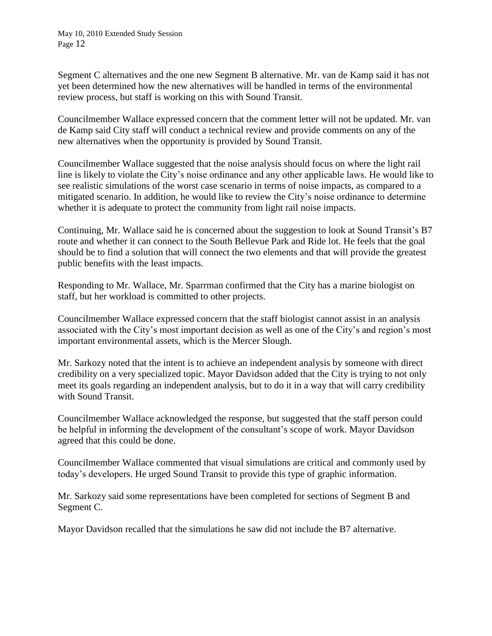Segment C alternatives and the one new Segment B alternative. Mr. van de Kamp said it has not yet been determined how the new alternatives will be handled in terms of the environmental review process, but staff is working on this with Sound Transit.

Councilmember Wallace expressed concern that the comment letter will not be updated. Mr. van de Kamp said City staff will conduct a technical review and provide comments on any of the new alternatives when the opportunity is provided by Sound Transit.

Councilmember Wallace suggested that the noise analysis should focus on where the light rail line is likely to violate the City's noise ordinance and any other applicable laws. He would like to see realistic simulations of the worst case scenario in terms of noise impacts, as compared to a mitigated scenario. In addition, he would like to review the City's noise ordinance to determine whether it is adequate to protect the community from light rail noise impacts.

Continuing, Mr. Wallace said he is concerned about the suggestion to look at Sound Transit's B7 route and whether it can connect to the South Bellevue Park and Ride lot. He feels that the goal should be to find a solution that will connect the two elements and that will provide the greatest public benefits with the least impacts.

Responding to Mr. Wallace, Mr. Sparrman confirmed that the City has a marine biologist on staff, but her workload is committed to other projects.

Councilmember Wallace expressed concern that the staff biologist cannot assist in an analysis associated with the City's most important decision as well as one of the City's and region's most important environmental assets, which is the Mercer Slough.

Mr. Sarkozy noted that the intent is to achieve an independent analysis by someone with direct credibility on a very specialized topic. Mayor Davidson added that the City is trying to not only meet its goals regarding an independent analysis, but to do it in a way that will carry credibility with Sound Transit.

Councilmember Wallace acknowledged the response, but suggested that the staff person could be helpful in informing the development of the consultant's scope of work. Mayor Davidson agreed that this could be done.

Councilmember Wallace commented that visual simulations are critical and commonly used by today's developers. He urged Sound Transit to provide this type of graphic information.

Mr. Sarkozy said some representations have been completed for sections of Segment B and Segment C.

Mayor Davidson recalled that the simulations he saw did not include the B7 alternative.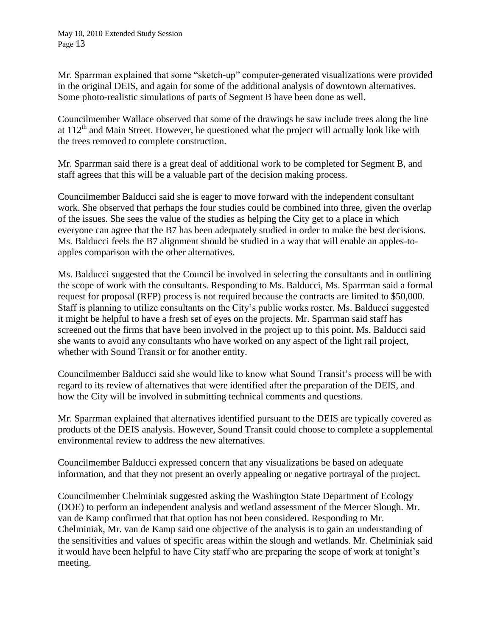Mr. Sparrman explained that some "sketch-up" computer-generated visualizations were provided in the original DEIS, and again for some of the additional analysis of downtown alternatives. Some photo-realistic simulations of parts of Segment B have been done as well.

Councilmember Wallace observed that some of the drawings he saw include trees along the line at  $112<sup>th</sup>$  and Main Street. However, he questioned what the project will actually look like with the trees removed to complete construction.

Mr. Sparrman said there is a great deal of additional work to be completed for Segment B, and staff agrees that this will be a valuable part of the decision making process.

Councilmember Balducci said she is eager to move forward with the independent consultant work. She observed that perhaps the four studies could be combined into three, given the overlap of the issues. She sees the value of the studies as helping the City get to a place in which everyone can agree that the B7 has been adequately studied in order to make the best decisions. Ms. Balducci feels the B7 alignment should be studied in a way that will enable an apples-toapples comparison with the other alternatives.

Ms. Balducci suggested that the Council be involved in selecting the consultants and in outlining the scope of work with the consultants. Responding to Ms. Balducci, Ms. Sparrman said a formal request for proposal (RFP) process is not required because the contracts are limited to \$50,000. Staff is planning to utilize consultants on the City's public works roster. Ms. Balducci suggested it might be helpful to have a fresh set of eyes on the projects. Mr. Sparrman said staff has screened out the firms that have been involved in the project up to this point. Ms. Balducci said she wants to avoid any consultants who have worked on any aspect of the light rail project, whether with Sound Transit or for another entity.

Councilmember Balducci said she would like to know what Sound Transit's process will be with regard to its review of alternatives that were identified after the preparation of the DEIS, and how the City will be involved in submitting technical comments and questions.

Mr. Sparrman explained that alternatives identified pursuant to the DEIS are typically covered as products of the DEIS analysis. However, Sound Transit could choose to complete a supplemental environmental review to address the new alternatives.

Councilmember Balducci expressed concern that any visualizations be based on adequate information, and that they not present an overly appealing or negative portrayal of the project.

Councilmember Chelminiak suggested asking the Washington State Department of Ecology (DOE) to perform an independent analysis and wetland assessment of the Mercer Slough. Mr. van de Kamp confirmed that that option has not been considered. Responding to Mr. Chelminiak, Mr. van de Kamp said one objective of the analysis is to gain an understanding of the sensitivities and values of specific areas within the slough and wetlands. Mr. Chelminiak said it would have been helpful to have City staff who are preparing the scope of work at tonight's meeting.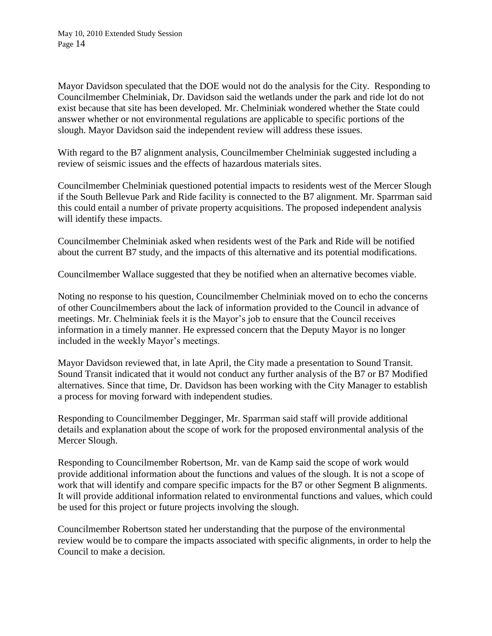Mayor Davidson speculated that the DOE would not do the analysis for the City. Responding to Councilmember Chelminiak, Dr. Davidson said the wetlands under the park and ride lot do not exist because that site has been developed. Mr. Chelminiak wondered whether the State could answer whether or not environmental regulations are applicable to specific portions of the slough. Mayor Davidson said the independent review will address these issues.

With regard to the B7 alignment analysis, Councilmember Chelminiak suggested including a review of seismic issues and the effects of hazardous materials sites.

Councilmember Chelminiak questioned potential impacts to residents west of the Mercer Slough if the South Bellevue Park and Ride facility is connected to the B7 alignment. Mr. Sparrman said this could entail a number of private property acquisitions. The proposed independent analysis will identify these impacts.

Councilmember Chelminiak asked when residents west of the Park and Ride will be notified about the current B7 study, and the impacts of this alternative and its potential modifications.

Councilmember Wallace suggested that they be notified when an alternative becomes viable.

Noting no response to his question, Councilmember Chelminiak moved on to echo the concerns of other Councilmembers about the lack of information provided to the Council in advance of meetings. Mr. Chelminiak feels it is the Mayor's job to ensure that the Council receives information in a timely manner. He expressed concern that the Deputy Mayor is no longer included in the weekly Mayor's meetings.

Mayor Davidson reviewed that, in late April, the City made a presentation to Sound Transit. Sound Transit indicated that it would not conduct any further analysis of the B7 or B7 Modified alternatives. Since that time, Dr. Davidson has been working with the City Manager to establish a process for moving forward with independent studies.

Responding to Councilmember Degginger, Mr. Sparrman said staff will provide additional details and explanation about the scope of work for the proposed environmental analysis of the Mercer Slough.

Responding to Councilmember Robertson, Mr. van de Kamp said the scope of work would provide additional information about the functions and values of the slough. It is not a scope of work that will identify and compare specific impacts for the B7 or other Segment B alignments. It will provide additional information related to environmental functions and values, which could be used for this project or future projects involving the slough.

Councilmember Robertson stated her understanding that the purpose of the environmental review would be to compare the impacts associated with specific alignments, in order to help the Council to make a decision.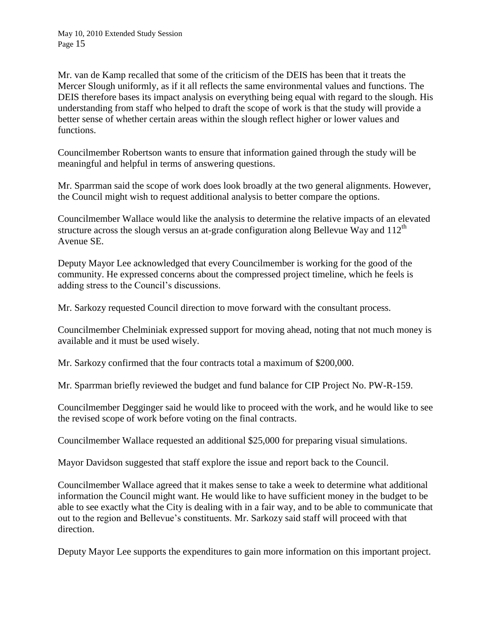Mr. van de Kamp recalled that some of the criticism of the DEIS has been that it treats the Mercer Slough uniformly, as if it all reflects the same environmental values and functions. The DEIS therefore bases its impact analysis on everything being equal with regard to the slough. His understanding from staff who helped to draft the scope of work is that the study will provide a better sense of whether certain areas within the slough reflect higher or lower values and functions.

Councilmember Robertson wants to ensure that information gained through the study will be meaningful and helpful in terms of answering questions.

Mr. Sparrman said the scope of work does look broadly at the two general alignments. However, the Council might wish to request additional analysis to better compare the options.

Councilmember Wallace would like the analysis to determine the relative impacts of an elevated structure across the slough versus an at-grade configuration along Bellevue Way and  $112<sup>th</sup>$ Avenue SE.

Deputy Mayor Lee acknowledged that every Councilmember is working for the good of the community. He expressed concerns about the compressed project timeline, which he feels is adding stress to the Council's discussions.

Mr. Sarkozy requested Council direction to move forward with the consultant process.

Councilmember Chelminiak expressed support for moving ahead, noting that not much money is available and it must be used wisely.

Mr. Sarkozy confirmed that the four contracts total a maximum of \$200,000.

Mr. Sparrman briefly reviewed the budget and fund balance for CIP Project No. PW-R-159.

Councilmember Degginger said he would like to proceed with the work, and he would like to see the revised scope of work before voting on the final contracts.

Councilmember Wallace requested an additional \$25,000 for preparing visual simulations.

Mayor Davidson suggested that staff explore the issue and report back to the Council.

Councilmember Wallace agreed that it makes sense to take a week to determine what additional information the Council might want. He would like to have sufficient money in the budget to be able to see exactly what the City is dealing with in a fair way, and to be able to communicate that out to the region and Bellevue's constituents. Mr. Sarkozy said staff will proceed with that direction.

Deputy Mayor Lee supports the expenditures to gain more information on this important project.